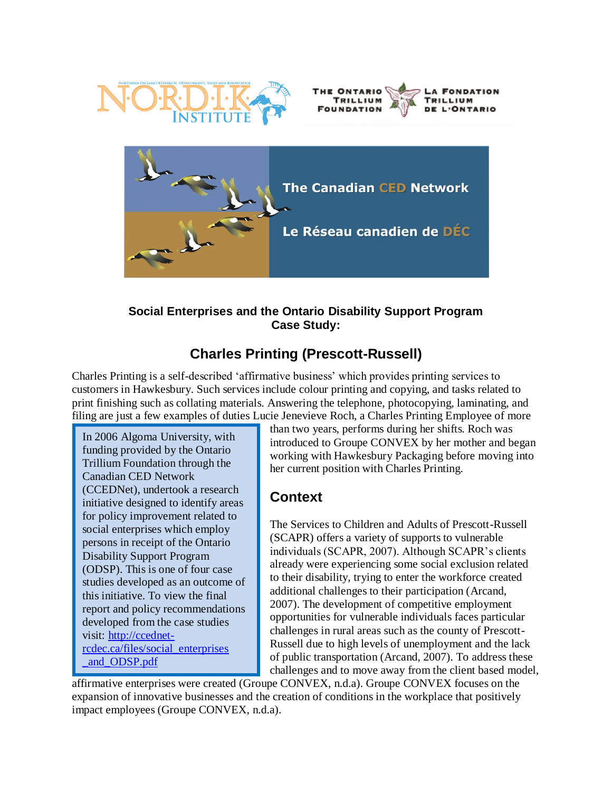





### **Social Enterprises and the Ontario Disability Support Program Case Study:**

# **Charles Printing (Prescott-Russell)**

Charles Printing is a self-described "affirmative business" which provides printing services to customers in Hawkesbury. Such services include colour printing and copying, and tasks related to print finishing such as collating materials. Answering the telephone, photocopying, laminating, and filing are just a few examples of duties Lucie Jenevieve Roch, a Charles Printing Employee of more

In 2006 Algoma University, with funding provided by the Ontario Trillium Foundation through the Canadian CED Network (CCEDNet), undertook a research initiative designed to identify areas for policy improvement related to social enterprises which employ persons in receipt of the Ontario Disability Support Program (ODSP). This is one of four case studies developed as an outcome of this initiative. To view the final report and policy recommendations developed from the case studies visit: [http://ccednet](http://ccednet-rcdec.ca/files/social_enterprises%0b_and_ODSP.pdf)[rcdec.ca/files/social\\_enterprises](http://ccednet-rcdec.ca/files/social_enterprises%0b_and_ODSP.pdf) [\\_and\\_ODSP.pdf](http://ccednet-rcdec.ca/files/social_enterprises%0b_and_ODSP.pdf)

than two years, performs during her shifts. Roch was introduced to Groupe CONVEX by her mother and began working with Hawkesbury Packaging before moving into her current position with Charles Printing.

## **Context**

The Services to Children and Adults of Prescott-Russell (SCAPR) offers a variety of supports to vulnerable individuals (SCAPR, 2007). Although SCAPR's clients already were experiencing some social exclusion related to their disability, trying to enter the workforce created additional challenges to their participation (Arcand, 2007). The development of competitive employment opportunities for vulnerable individuals faces particular challenges in rural areas such as the county of Prescott-Russell due to high levels of unemployment and the lack of public transportation (Arcand, 2007). To address these challenges and to move away from the client based model,

affirmative enterprises were created (Groupe CONVEX, n.d.a). Groupe CONVEX focuses on the expansion of innovative businesses and the creation of conditions in the workplace that positively impact employees (Groupe CONVEX, n.d.a).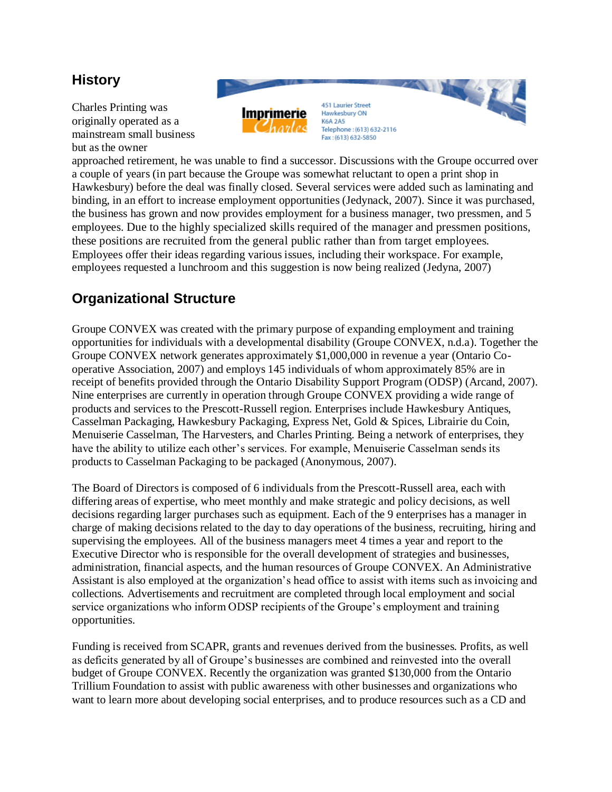### **History**

Charles Printing was originally operated as a mainstream small business but as the owner



approached retirement, he was unable to find a successor. Discussions with the Groupe occurred over a couple of years (in part because the Groupe was somewhat reluctant to open a print shop in Hawkesbury) before the deal was finally closed. Several services were added such as laminating and binding, in an effort to increase employment opportunities (Jedynack, 2007). Since it was purchased, the business has grown and now provides employment for a business manager, two pressmen, and 5 employees. Due to the highly specialized skills required of the manager and pressmen positions, these positions are recruited from the general public rather than from target employees. Employees offer their ideas regarding various issues, including their workspace. For example, employees requested a lunchroom and this suggestion is now being realized (Jedyna, 2007)

## **Organizational Structure**

Groupe CONVEX was created with the primary purpose of expanding employment and training opportunities for individuals with a developmental disability (Groupe CONVEX, n.d.a). Together the Groupe CONVEX network generates approximately \$1,000,000 in revenue a year (Ontario Cooperative Association, 2007) and employs 145 individuals of whom approximately 85% are in receipt of benefits provided through the Ontario Disability Support Program (ODSP) (Arcand, 2007). Nine enterprises are currently in operation through Groupe CONVEX providing a wide range of products and services to the Prescott-Russell region. Enterprises include Hawkesbury Antiques, Casselman Packaging, Hawkesbury Packaging, Express Net, Gold & Spices, Librairie du Coin, Menuiserie Casselman, The Harvesters, and Charles Printing. Being a network of enterprises, they have the ability to utilize each other's services. For example, Menuiserie Casselman sends its products to Casselman Packaging to be packaged (Anonymous, 2007).

The Board of Directors is composed of 6 individuals from the Prescott-Russell area, each with differing areas of expertise, who meet monthly and make strategic and policy decisions, as well decisions regarding larger purchases such as equipment. Each of the 9 enterprises has a manager in charge of making decisions related to the day to day operations of the business, recruiting, hiring and supervising the employees. All of the business managers meet 4 times a year and report to the Executive Director who is responsible for the overall development of strategies and businesses, administration, financial aspects, and the human resources of Groupe CONVEX. An Administrative Assistant is also employed at the organization"s head office to assist with items such as invoicing and collections. Advertisements and recruitment are completed through local employment and social service organizations who inform ODSP recipients of the Groupe"s employment and training opportunities.

Funding is received from SCAPR, grants and revenues derived from the businesses. Profits, as well as deficits generated by all of Groupe's businesses are combined and reinvested into the overall budget of Groupe CONVEX. Recently the organization was granted \$130,000 from the Ontario Trillium Foundation to assist with public awareness with other businesses and organizations who want to learn more about developing social enterprises, and to produce resources such as a CD and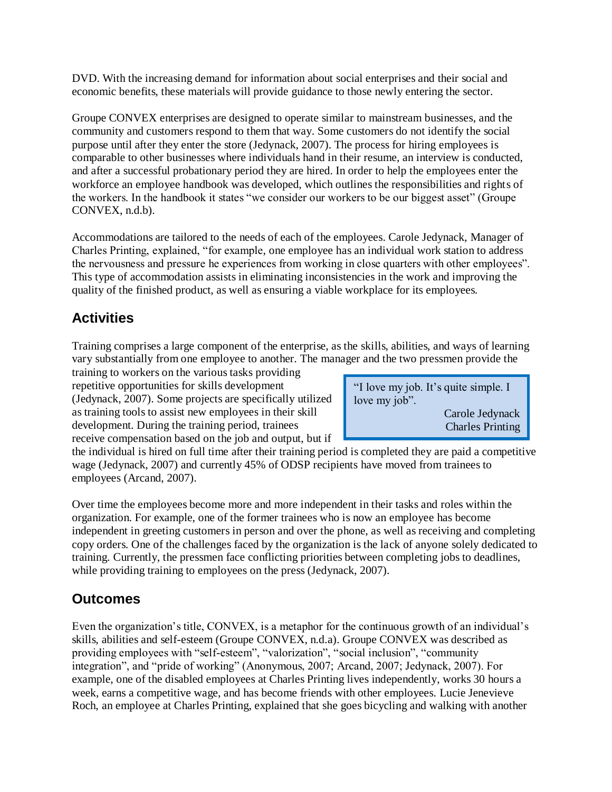DVD. With the increasing demand for information about social enterprises and their social and economic benefits, these materials will provide guidance to those newly entering the sector.

Groupe CONVEX enterprises are designed to operate similar to mainstream businesses, and the community and customers respond to them that way. Some customers do not identify the social purpose until after they enter the store (Jedynack, 2007). The process for hiring employees is comparable to other businesses where individuals hand in their resume, an interview is conducted, and after a successful probationary period they are hired. In order to help the employees enter the workforce an employee handbook was developed, which outlines the responsibilities and rights of the workers. In the handbook it states "we consider our workers to be our biggest asset" (Groupe CONVEX, n.d.b).

Accommodations are tailored to the needs of each of the employees. Carole Jedynack, Manager of Charles Printing, explained, "for example, one employee has an individual work station to address the nervousness and pressure he experiences from working in close quarters with other employees". This type of accommodation assists in eliminating inconsistencies in the work and improving the quality of the finished product, as well as ensuring a viable workplace for its employees.

# **Activities**

Training comprises a large component of the enterprise, as the skills, abilities, and ways of learning vary substantially from one employee to another. The manager and the two pressmen provide the

training to workers on the various tasks providing repetitive opportunities for skills development (Jedynack, 2007). Some projects are specifically utilized as training tools to assist new employees in their skill development. During the training period, trainees receive compensation based on the job and output, but if

"I love my job. It's quite simple. I love my job".

> Carole Jedynack Charles Printing

the individual is hired on full time after their training period is completed they are paid a competitive wage (Jedynack, 2007) and currently 45% of ODSP recipients have moved from trainees to employees (Arcand, 2007).

Over time the employees become more and more independent in their tasks and roles within the organization. For example, one of the former trainees who is now an employee has become independent in greeting customers in person and over the phone, as well as receiving and completing copy orders. One of the challenges faced by the organization is the lack of anyone solely dedicated to training. Currently, the pressmen face conflicting priorities between completing jobs to deadlines, while providing training to employees on the press (Jedynack, 2007).

## **Outcomes**

Even the organization's title, CONVEX, is a metaphor for the continuous growth of an individual's skills, abilities and self-esteem (Groupe CONVEX, n.d.a). Groupe CONVEX was described as providing employees with "self-esteem", "valorization", "social inclusion", "community integration", and "pride of working" (Anonymous, 2007; Arcand, 2007; Jedynack, 2007). For example, one of the disabled employees at Charles Printing lives independently, works 30 hours a week, earns a competitive wage, and has become friends with other employees. Lucie Jenevieve Roch, an employee at Charles Printing, explained that she goes bicycling and walking with another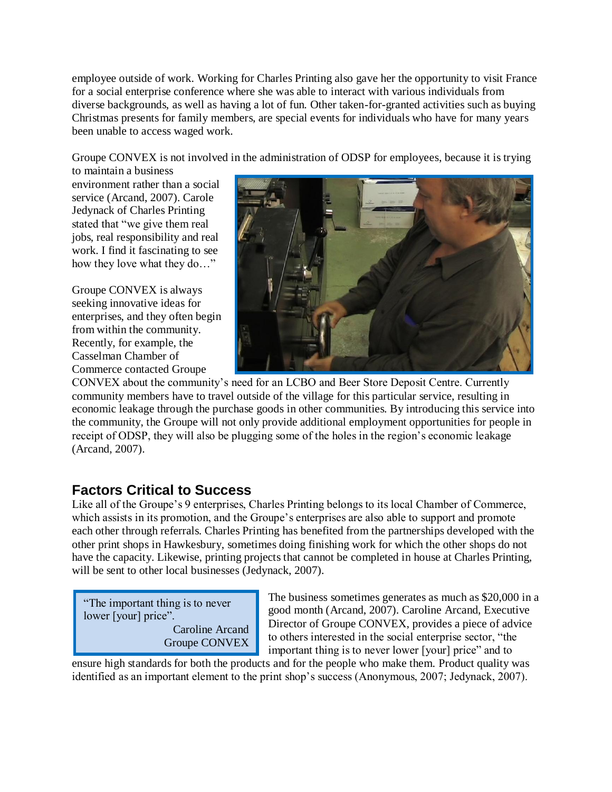employee outside of work. Working for Charles Printing also gave her the opportunity to visit France for a social enterprise conference where she was able to interact with various individuals from diverse backgrounds, as well as having a lot of fun. Other taken-for-granted activities such as buying Christmas presents for family members, are special events for individuals who have for many years been unable to access waged work.

Groupe CONVEX is not involved in the administration of ODSP for employees, because it is trying

to maintain a business environment rather than a social service (Arcand, 2007). Carole Jedynack of Charles Printing stated that "we give them real jobs, real responsibility and real work. I find it fascinating to see how they love what they do…"

Groupe CONVEX is always seeking innovative ideas for enterprises, and they often begin from within the community. Recently, for example, the Casselman Chamber of Commerce contacted Groupe



CONVEX about the community"s need for an LCBO and Beer Store Deposit Centre. Currently community members have to travel outside of the village for this particular service, resulting in economic leakage through the purchase goods in other communities. By introducing this service into the community, the Groupe will not only provide additional employment opportunities for people in receipt of ODSP, they will also be plugging some of the holes in the region"s economic leakage (Arcand, 2007).

## **Factors Critical to Success**

Like all of the Groupe's 9 enterprises, Charles Printing belongs to its local Chamber of Commerce, which assists in its promotion, and the Groupe's enterprises are also able to support and promote each other through referrals. Charles Printing has benefited from the partnerships developed with the other print shops in Hawkesbury, sometimes doing finishing work for which the other shops do not have the capacity. Likewise, printing projects that cannot be completed in house at Charles Printing, will be sent to other local businesses (Jedynack, 2007).

"The important thing is to never lower [your] price". Caroline Arcand Groupe CONVEX

The business sometimes generates as much as \$20,000 in a good month (Arcand, 2007). Caroline Arcand, Executive Director of Groupe CONVEX, provides a piece of advice to others interested in the social enterprise sector, "the important thing is to never lower [your] price" and to

ensure high standards for both the products and for the people who make them. Product quality was identified as an important element to the print shop's success (Anonymous, 2007; Jedynack, 2007).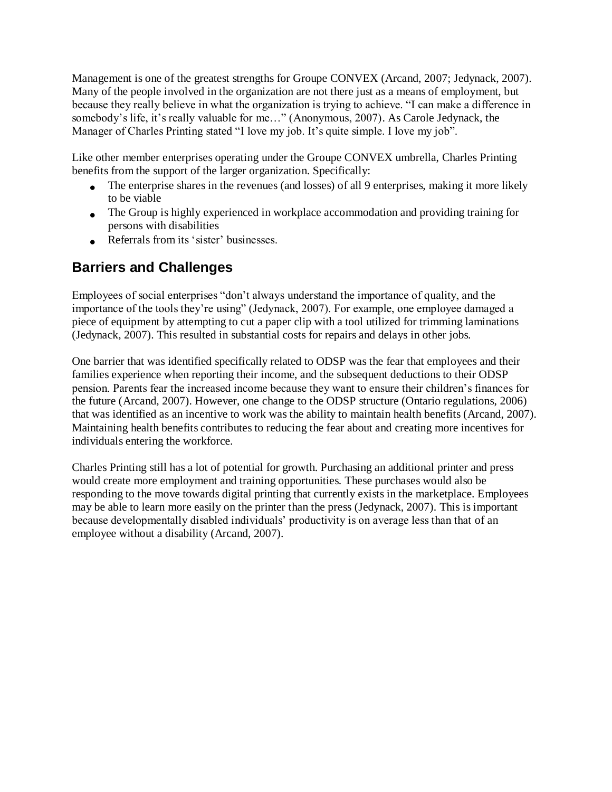Management is one of the greatest strengths for Groupe CONVEX (Arcand, 2007; Jedynack, 2007). Many of the people involved in the organization are not there just as a means of employment, but because they really believe in what the organization is trying to achieve. "I can make a difference in somebody's life, it's really valuable for me..." (Anonymous, 2007). As Carole Jedynack, the Manager of Charles Printing stated "I love my job. It's quite simple. I love my job".

Like other member enterprises operating under the Groupe CONVEX umbrella, Charles Printing benefits from the support of the larger organization. Specifically:

- The enterprise shares in the revenues (and losses) of all 9 enterprises, making it more likely to be viable
- The Group is highly experienced in workplace accommodation and providing training for persons with disabilities
- Referrals from its 'sister' businesses.

### **Barriers and Challenges**

Employees of social enterprises "don"t always understand the importance of quality, and the importance of the tools they"re using" (Jedynack, 2007). For example, one employee damaged a piece of equipment by attempting to cut a paper clip with a tool utilized for trimming laminations (Jedynack, 2007). This resulted in substantial costs for repairs and delays in other jobs.

One barrier that was identified specifically related to ODSP was the fear that employees and their families experience when reporting their income, and the subsequent deductions to their ODSP pension. Parents fear the increased income because they want to ensure their children"s finances for the future (Arcand, 2007). However, one change to the ODSP structure (Ontario regulations, 2006) that was identified as an incentive to work was the ability to maintain health benefits (Arcand, 2007). Maintaining health benefits contributes to reducing the fear about and creating more incentives for individuals entering the workforce.

Charles Printing still has a lot of potential for growth. Purchasing an additional printer and press would create more employment and training opportunities. These purchases would also be responding to the move towards digital printing that currently exists in the marketplace. Employees may be able to learn more easily on the printer than the press (Jedynack, 2007). This is important because developmentally disabled individuals" productivity is on average less than that of an employee without a disability (Arcand, 2007).